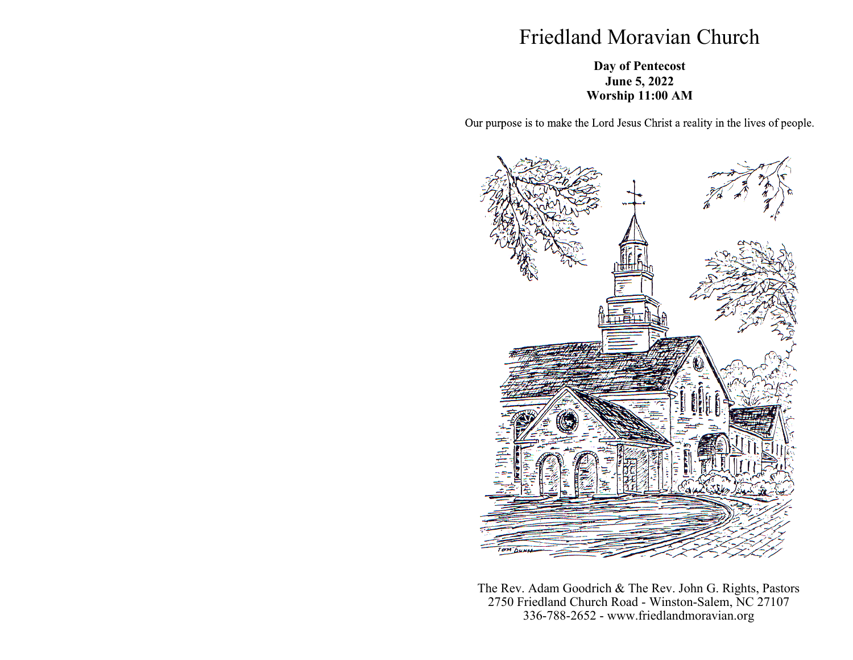## Friedland Moravian Church

## **Day of Pentecost June 5, 2022 Worship 11:00 AM**

Our purpose is to make the Lord Jesus Christ a reality in the lives of people.



The Rev. Adam Goodrich & The Rev. John G. Rights, Pastors 2750 Friedland Church Road - Winston-Salem, NC 27107 336-788-2652 - www.friedlandmoravian.org